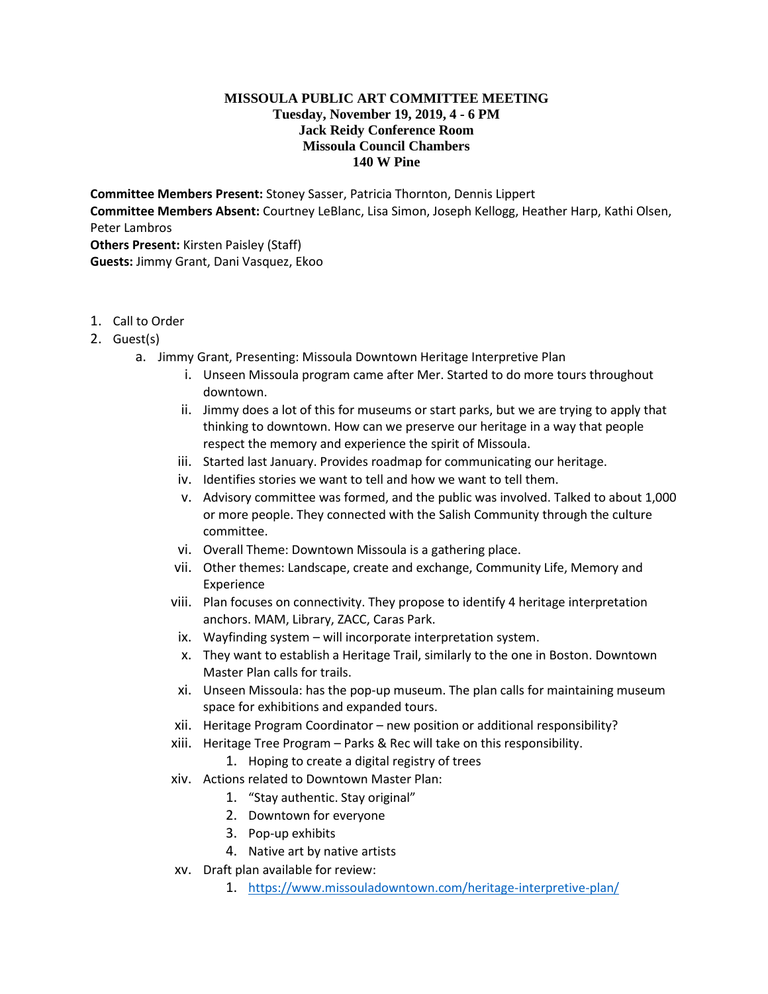## **MISSOULA PUBLIC ART COMMITTEE MEETING Tuesday, November 19, 2019, 4 - 6 PM Jack Reidy Conference Room Missoula Council Chambers 140 W Pine**

**Committee Members Present:** Stoney Sasser, Patricia Thornton, Dennis Lippert **Committee Members Absent:** Courtney LeBlanc, Lisa Simon, Joseph Kellogg, Heather Harp, Kathi Olsen, Peter Lambros **Others Present:** Kirsten Paisley (Staff) **Guests:** Jimmy Grant, Dani Vasquez, Ekoo

- 1. Call to Order
- 2. Guest(s)
	- a. Jimmy Grant, Presenting: Missoula Downtown Heritage Interpretive Plan
		- i. Unseen Missoula program came after Mer. Started to do more tours throughout downtown.
		- ii. Jimmy does a lot of this for museums or start parks, but we are trying to apply that thinking to downtown. How can we preserve our heritage in a way that people respect the memory and experience the spirit of Missoula.
		- iii. Started last January. Provides roadmap for communicating our heritage.
		- iv. Identifies stories we want to tell and how we want to tell them.
		- v. Advisory committee was formed, and the public was involved. Talked to about 1,000 or more people. They connected with the Salish Community through the culture committee.
		- vi. Overall Theme: Downtown Missoula is a gathering place.
		- vii. Other themes: Landscape, create and exchange, Community Life, Memory and Experience
		- viii. Plan focuses on connectivity. They propose to identify 4 heritage interpretation anchors. MAM, Library, ZACC, Caras Park.
		- ix. Wayfinding system will incorporate interpretation system.
		- x. They want to establish a Heritage Trail, similarly to the one in Boston. Downtown Master Plan calls for trails.
		- xi. Unseen Missoula: has the pop-up museum. The plan calls for maintaining museum space for exhibitions and expanded tours.
		- xii. Heritage Program Coordinator new position or additional responsibility?
		- xiii. Heritage Tree Program Parks & Rec will take on this responsibility.
			- 1. Hoping to create a digital registry of trees
		- xiv. Actions related to Downtown Master Plan:
			- 1. "Stay authentic. Stay original"
			- 2. Downtown for everyone
			- 3. Pop-up exhibits
			- 4. Native art by native artists
		- xv. Draft plan available for review:
			- 1. <https://www.missouladowntown.com/heritage-interpretive-plan/>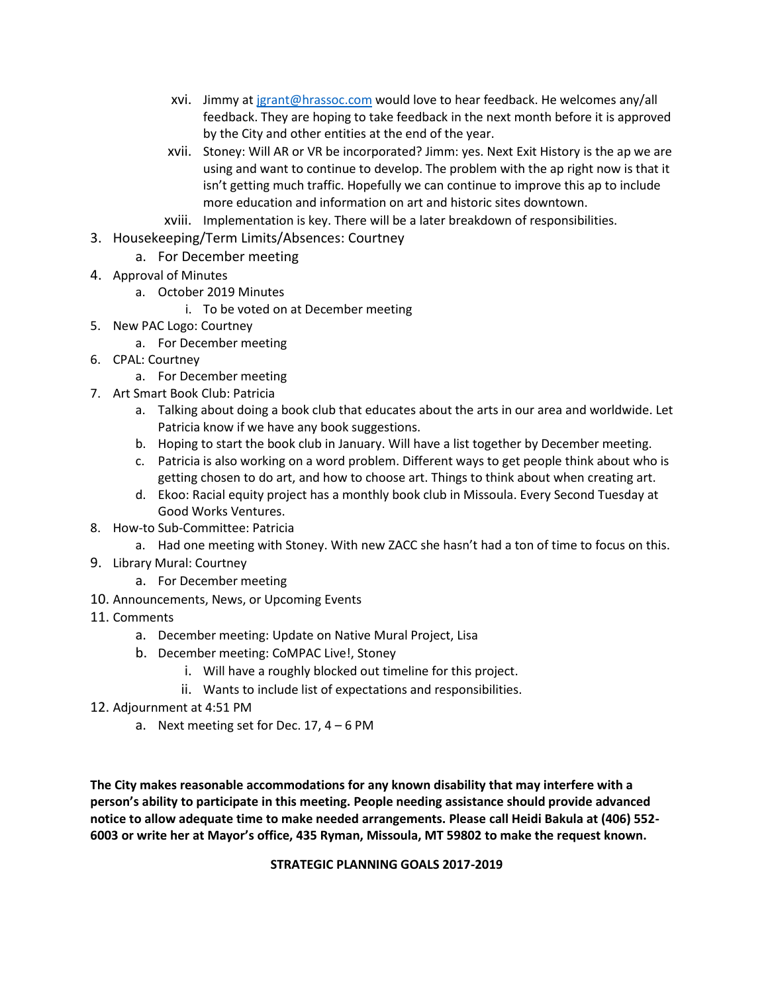- xvi. Jimmy a[t jgrant@hrassoc.com](mailto:jgrant@hrassoc.com) would love to hear feedback. He welcomes any/all feedback. They are hoping to take feedback in the next month before it is approved by the City and other entities at the end of the year.
- xvii. Stoney: Will AR or VR be incorporated? Jimm: yes. Next Exit History is the ap we are using and want to continue to develop. The problem with the ap right now is that it isn't getting much traffic. Hopefully we can continue to improve this ap to include more education and information on art and historic sites downtown.
- xviii. Implementation is key. There will be a later breakdown of responsibilities.
- 3. Housekeeping/Term Limits/Absences: Courtney
	- a. For December meeting
- 4. Approval of Minutes
	- a. October 2019 Minutes
		- i. To be voted on at December meeting
- 5. New PAC Logo: Courtney
	- a. For December meeting
- 6. CPAL: Courtney
	- a. For December meeting
- 7. Art Smart Book Club: Patricia
	- a. Talking about doing a book club that educates about the arts in our area and worldwide. Let Patricia know if we have any book suggestions.
	- b. Hoping to start the book club in January. Will have a list together by December meeting.
	- c. Patricia is also working on a word problem. Different ways to get people think about who is getting chosen to do art, and how to choose art. Things to think about when creating art.
	- d. Ekoo: Racial equity project has a monthly book club in Missoula. Every Second Tuesday at Good Works Ventures.
- 8. How-to Sub-Committee: Patricia
	- a. Had one meeting with Stoney. With new ZACC she hasn't had a ton of time to focus on this.
- 9. Library Mural: Courtney
	- a. For December meeting
- 10. Announcements, News, or Upcoming Events
- 11. Comments
	- a. December meeting: Update on Native Mural Project, Lisa
	- b. December meeting: CoMPAC Live!, Stoney
		- i. Will have a roughly blocked out timeline for this project.
		- ii. Wants to include list of expectations and responsibilities.
- 12. Adjournment at 4:51 PM
	- a. Next meeting set for Dec.  $17, 4 6$  PM

**The City makes reasonable accommodations for any known disability that may interfere with a person's ability to participate in this meeting. People needing assistance should provide advanced notice to allow adequate time to make needed arrangements. Please call Heidi Bakula at (406) 552- 6003 or write her at Mayor's office, 435 Ryman, Missoula, MT 59802 to make the request known.** 

**STRATEGIC PLANNING GOALS 2017-2019**